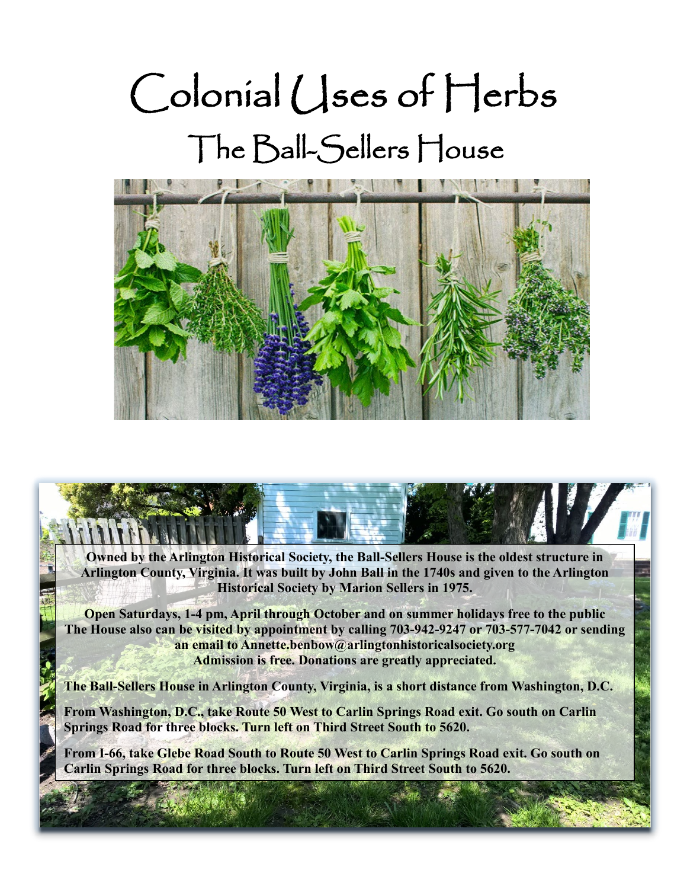# Colonial Uses of Herbs The Ball-Sellers House



**Owned by the Arlington Historical Society, the Ball-Sellers House is the oldest structure in Arlington County, Virginia. It was built by John Ball in the 1740s and given to the Arlington Historical Society by Marion Sellers in 1975.**

Ì i

**Open Saturdays, 1-4 pm, April through October and on summer holidays free to the public The House also can be visited by appointment by calling 703-942-9247 or 703-577-7042 or sending an email to Annette.benbow@arlingtonhistoricalsociety.org Admission is free. Donations are greatly appreciated.**

**The Ball-Sellers House in Arlington County, Virginia, is a short distance from Washington, D.C.**

**From Washington, D.C., take Route 50 West to Carlin Springs Road exit. Go south on Carlin Springs Road for three blocks. Turn left on Third Street South to 5620.**

**From I-66, take Glebe Road South to Route 50 West to Carlin Springs Road exit. Go south on Carlin Springs Road for three blocks. Turn left on Third Street South to 5620.**